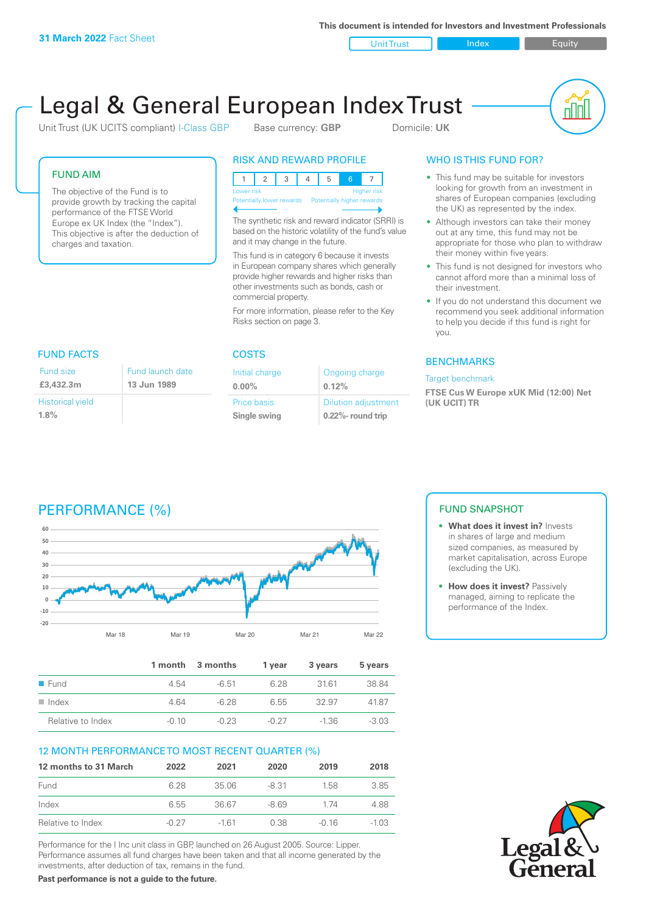**This document is intended for Investors and Investment Professionals**

Unit Trust Index I Equity

# Legal & General European Index Trust

Unit Trust (UK UCITS compliant) I-Class GBP Base currency: **GBP** Domicile: UK



### FUND AIM

The objective of the Fund is to provide growth by tracking the capital performance of the FTSE World Europe ex UK Index (the "Index"). This objective is after the deduction of charges and taxation.

### RISK AND REWARD PROFILE

| Lower risk                |  |  |  |                            | <b>Higher risk</b> |
|---------------------------|--|--|--|----------------------------|--------------------|
| Potentially lower rewards |  |  |  | Potentially higher rewards |                    |
|                           |  |  |  |                            |                    |

The synthetic risk and reward indicator (SRRI) is based on the historic volatility of the fund's value and it may change in the future.

This fund is in category 6 because it invests in European company shares which generally provide higher rewards and higher risks than other investments such as bonds, cash or commercial property.

For more information, please refer to the Key Risks section on page 3.

### FUND FACTS COSTS

| Fund size                       | Fund launch date |
|---------------------------------|------------------|
| £3,432.3m                       | 13 Jun 1989      |
| <b>Historical yield</b><br>1.8% |                  |

| Initial charge | Ongoing charge             |
|----------------|----------------------------|
| $0.00\%$       | 0.12%                      |
| Price basis    | <b>Dilution adjustment</b> |
| Single swing   | 0.22%- round trip          |

### WHO IS THIS FUND FOR?

- This fund may be suitable for investors looking for growth from an investment in shares of European companies (excluding the UK) as represented by the index.
- Although investors can take their money out at any time, this fund may not be appropriate for those who plan to withdraw their money within five years.
- This fund is not designed for investors who cannot afford more than a minimal loss of their investment.
- If you do not understand this document we recommend you seek additional information to help you decide if this fund is right for you.

### **BENCHMARKS**

### Target benchmark

**FTSE Cus W Europe xUK Mid (12:00) Net (UK UCIT) TR**

# PERFORMANCE (%)



|                      |         | 1 month 3 months | 1 vear  | 3 years | 5 years |
|----------------------|---------|------------------|---------|---------|---------|
| ■ Fund               | 4.54    | $-6.51$          | 6.28    | 3161    | 38.84   |
| $\blacksquare$ Index | 4 64    | -6.28            | 6.55    | 32.97   | 41.87   |
| Relative to Index    | $-0.10$ | $-0.23$          | $-0.27$ | $-1.36$ | $-3.03$ |

### 12 MONTH PERFORMANCE TO MOST RECENT QUARTER (%)

| 12 months to 31 March | 2022    | 2021   | 2020    | 2019    | 2018  |
|-----------------------|---------|--------|---------|---------|-------|
| Fund                  | 628     | 35.06  | $-8.31$ | 158     | 385   |
| Index                 | 6.55    | 36.67  | $-869$  | 174     | 4.88  |
| Relative to Index     | $-0.27$ | $-161$ | 0.38    | $-0.16$ | -1 03 |

Performance for the I Inc unit class in GBP, launched on 26 August 2005. Source: Lipper. Performance assumes all fund charges have been taken and that all income generated by the investments, after deduction of tax, remains in the fund.

**Past performance is not a guide to the future.**

### FUND SNAPSHOT

- **• What does it invest in?** Invests in shares of large and medium sized companies, as measured by market capitalisation, across Europe (excluding the UK).
- **• How does it invest?** Passively managed, aiming to replicate the performance of the Index.

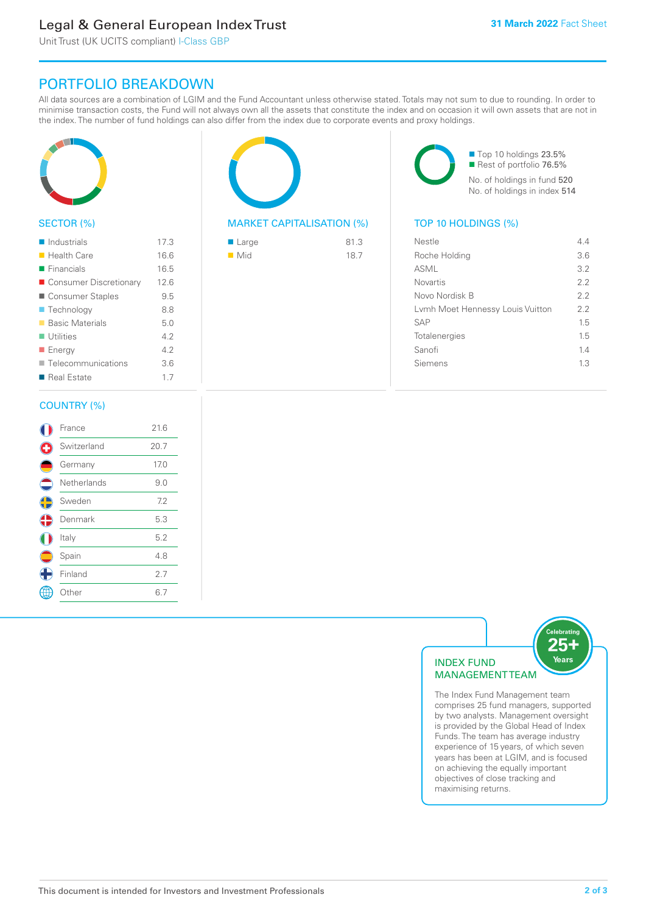# Legal & General European Index Trust

Unit Trust (UK UCITS compliant) I-Class GBP

## PORTFOLIO BREAKDOWN

All data sources are a combination of LGIM and the Fund Accountant unless otherwise stated. Totals may not sum to due to rounding. In order to minimise transaction costs, the Fund will not always own all the assets that constitute the index and on occasion it will own assets that are not in the index. The number of fund holdings can also differ from the index due to corporate events and proxy holdings.



### SECTOR (%)

| $\blacksquare$ Industrials | 17.3 |
|----------------------------|------|
| <b>Health Care</b>         | 16.6 |
| $\blacksquare$ Financials  | 16.5 |
| ■ Consumer Discretionary   | 12.6 |
| ■ Consumer Staples         | 9.5  |
| ■ Technology               | 8.8  |
| <b>Basic Materials</b>     | 5.0  |
| $\blacksquare$ Utilities   | 4.2  |
| ■ Energy                   | 4.2  |
| ■ Telecommunications       | 3.6  |
| ■ Real Estate              | 1.7  |
|                            |      |

### MARKET CAPITALISATION (%) TOP 10 HOLDINGS (%)

| ■ Large            | 81.3 |
|--------------------|------|
| $\blacksquare$ Mid | 18.7 |

■ Top 10 holdings 23.5% Rest of portfolio 76.5% No. of holdings in fund 520 No. of holdings in index 514

| Nestle                           | 44  |
|----------------------------------|-----|
| Roche Holding                    | 3.6 |
| ASML                             | 3.2 |
| <b>Novartis</b>                  | 22  |
| Novo Nordisk B                   | 22  |
| Lymh Moet Hennessy Louis Vuitton | 2.2 |
| <b>SAP</b>                       | 15  |
| Totalenergies                    | 15  |
| Sanofi                           | 14  |
| Siemens                          | 13  |
|                                  |     |

### COUNTRY (%)

|                          | France       | 21.6 |  |
|--------------------------|--------------|------|--|
|                          | Switzerland  | 20.7 |  |
|                          | Germany      | 17.0 |  |
| $\overline{\phantom{a}}$ | Netherlands  | 9.0  |  |
| C                        | Sweden       | 7.2  |  |
| ¢                        | Denmark      | 5.3  |  |
|                          | Italy        | 5.2  |  |
|                          | Spain        | 4.8  |  |
|                          | Finland      | 2.7  |  |
|                          | <b>Other</b> | 6.7  |  |
|                          |              |      |  |



The Index Fund Management team comprises 25 fund managers, supported by two analysts. Management oversight is provided by the Global Head of Index Funds. The team has average industry experience of 15 years, of which seven years has been at LGIM, and is focused on achieving the equally important objectives of close tracking and maximising returns.